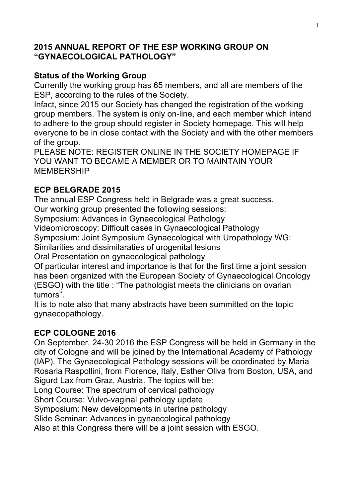#### **2015 ANNUAL REPORT OF THE ESP WORKING GROUP ON "GYNAECOLOGICAL PATHOLOGY"**

### **Status of the Working Group**

Currently the working group has 65 members, and all are members of the ESP, according to the rules of the Society.

Infact, since 2015 our Society has changed the registration of the working group members. The system is only on-line, and each member which intend to adhere to the group should register in Society homepage. This will help everyone to be in close contact with the Society and with the other members of the group.

PLEASE NOTE: REGISTER ONLINE IN THE SOCIETY HOMEPAGE IF YOU WANT TO BECAME A MEMBER OR TO MAINTAIN YOUR MEMBERSHIP

## **ECP BELGRADE 2015**

The annual ESP Congress held in Belgrade was a great success.

Our working group presented the following sessions:

Symposium: Advances in Gynaecological Pathology

Videomicroscopy: Difficult cases in Gynaecological Pathology

Symposium: Joint Symposium Gynaecological with Uropathology WG:

Similarities and dissimilaraties of urogenital lesions

Oral Presentation on gynaecological pathology

Of particular interest and importance is that for the first time a joint session has been organized with the European Society of Gynaecological Oncology (ESGO) with the title : "The pathologist meets the clinicians on ovarian tumors".

It is to note also that many abstracts have been summitted on the topic gynaecopathology.

# **ECP COLOGNE 2016**

On September, 24-30 2016 the ESP Congress will be held in Germany in the city of Cologne and will be joined by the International Academy of Pathology (IAP). The Gynaecological Pathology sessions will be coordinated by Maria Rosaria Raspollini, from Florence, Italy, Esther Oliva from Boston, USA, and Sigurd Lax from Graz, Austria. The topics will be:

Long Course: The spectrum of cervical pathology

Short Course: Vulvo-vaginal pathology update

Symposium: New developments in uterine pathology

Slide Seminar: Advances in gynaecological pathology

Also at this Congress there will be a joint session with ESGO.